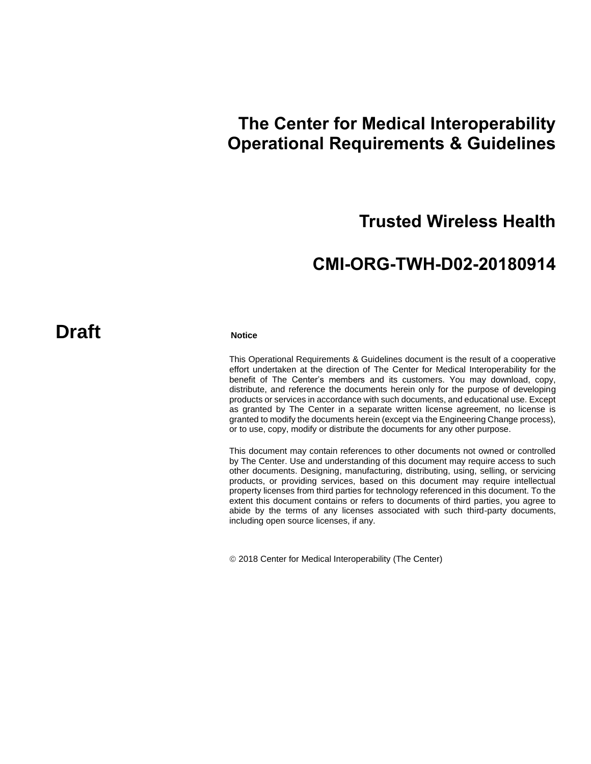# **The Center for Medical Interoperability Operational Requirements & Guidelines**

# **Trusted Wireless Health**

# **CMI-ORG-TWH-D02-20180914**

# **Draft** Notice

This Operational Requirements & Guidelines document is the result of a cooperative effort undertaken at the direction of The Center for Medical Interoperability for the benefit of The Center's members and its customers. You may download, copy, distribute, and reference the documents herein only for the purpose of developing products or services in accordance with such documents, and educational use. Except as granted by The Center in a separate written license agreement, no license is granted to modify the documents herein (except via the Engineering Change process), or to use, copy, modify or distribute the documents for any other purpose.

This document may contain references to other documents not owned or controlled by The Center. Use and understanding of this document may require access to such other documents. Designing, manufacturing, distributing, using, selling, or servicing products, or providing services, based on this document may require intellectual property licenses from third parties for technology referenced in this document. To the extent this document contains or refers to documents of third parties, you agree to abide by the terms of any licenses associated with such third-party documents, including open source licenses, if any.

2018 Center for Medical Interoperability (The Center)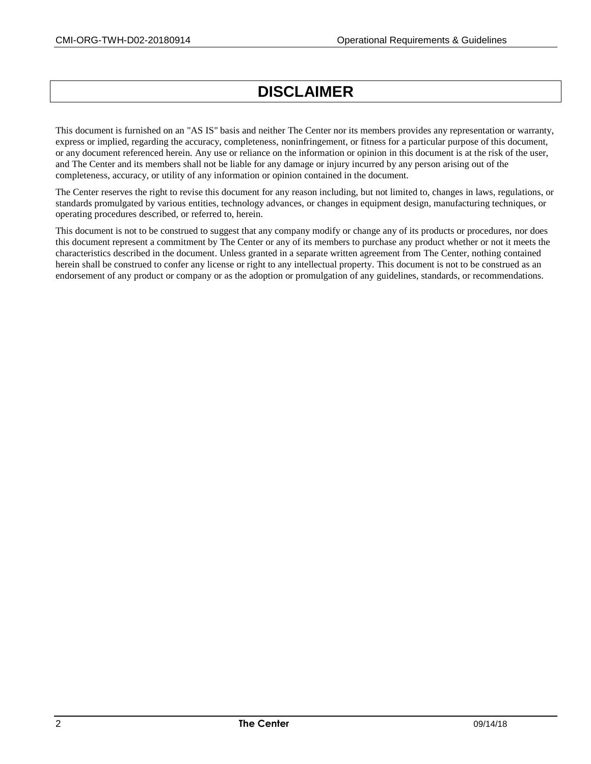# **DISCLAIMER**

This document is furnished on an "AS IS" basis and neither The Center nor its members provides any representation or warranty, express or implied, regarding the accuracy, completeness, noninfringement, or fitness for a particular purpose of this document, or any document referenced herein. Any use or reliance on the information or opinion in this document is at the risk of the user, and The Center and its members shall not be liable for any damage or injury incurred by any person arising out of the completeness, accuracy, or utility of any information or opinion contained in the document.

The Center reserves the right to revise this document for any reason including, but not limited to, changes in laws, regulations, or standards promulgated by various entities, technology advances, or changes in equipment design, manufacturing techniques, or operating procedures described, or referred to, herein.

This document is not to be construed to suggest that any company modify or change any of its products or procedures, nor does this document represent a commitment by The Center or any of its members to purchase any product whether or not it meets the characteristics described in the document. Unless granted in a separate written agreement from The Center, nothing contained herein shall be construed to confer any license or right to any intellectual property. This document is not to be construed as an endorsement of any product or company or as the adoption or promulgation of any guidelines, standards, or recommendations.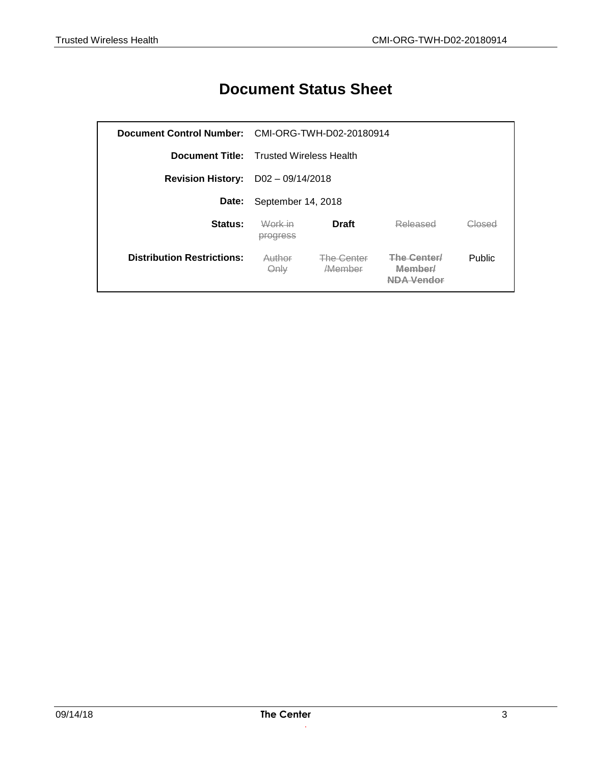# **Document Status Sheet**

|                                             | Document Control Number: CMI-ORG-TWH-D02-20180914 |                             |                              |        |
|---------------------------------------------|---------------------------------------------------|-----------------------------|------------------------------|--------|
|                                             | <b>Document Title:</b> Trusted Wireless Health    |                             |                              |        |
| <b>Revision History:</b> $D02 - 09/14/2018$ |                                                   |                             |                              |        |
| Date:                                       | September 14, 2018                                |                             |                              |        |
| Status:                                     | Work in<br>progress                               | <b>Draft</b>                | Released                     | Closed |
| <b>Distribution Restrictions:</b>           | Author<br>Only                                    | The Center<br><b>Member</b> | <b>The Center</b><br>Memberl | Public |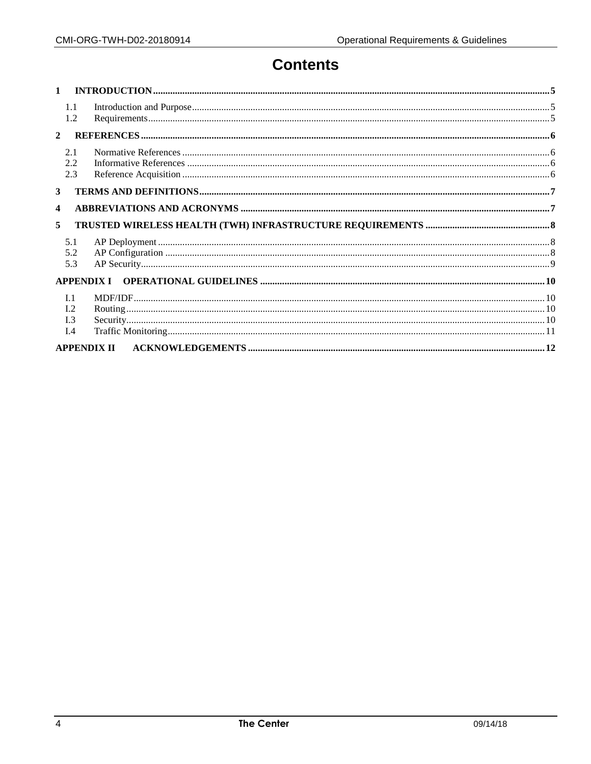# **Contents**

| $\mathbf{1}$   |                                     |  |
|----------------|-------------------------------------|--|
|                | 1.1<br>1.2                          |  |
| $\overline{2}$ |                                     |  |
|                | 2.1<br>2.2<br>2.3                   |  |
| 3              |                                     |  |
| 4              |                                     |  |
| 5              |                                     |  |
|                | 5.1<br>5.2<br>5.3                   |  |
|                | <b>APPENDIX I</b>                   |  |
|                | L <sub>1</sub><br>I.2<br>I.3<br>I.4 |  |
|                | <b>APPENDIX II</b>                  |  |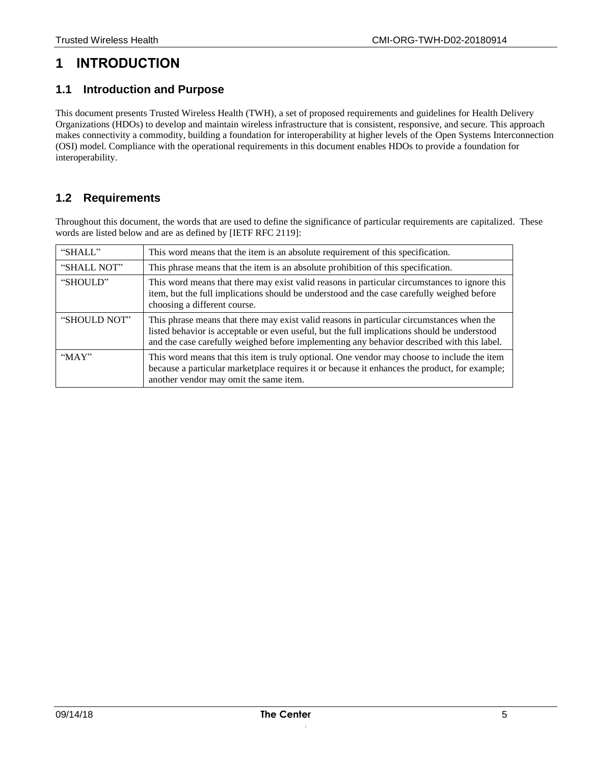# **1 INTRODUCTION**

#### **1.1 Introduction and Purpose**

This document presents Trusted Wireless Health (TWH), a set of proposed requirements and guidelines for Health Delivery Organizations (HDOs) to develop and maintain wireless infrastructure that is consistent, responsive, and secure. This approach makes connectivity a commodity, building a foundation for interoperability at higher levels of the Open Systems Interconnection (OSI) model. Compliance with the operational requirements in this document enables HDOs to provide a foundation for interoperability.

#### **1.2 Requirements**

Throughout this document, the words that are used to define the significance of particular requirements are capitalized. These words are listed below and are as defined by [\[IETF RFC 2119\]:](#page-5-0)

| "SHALL"      | This word means that the item is an absolute requirement of this specification.                                                                                                                                                                                                         |
|--------------|-----------------------------------------------------------------------------------------------------------------------------------------------------------------------------------------------------------------------------------------------------------------------------------------|
| "SHALL NOT"  | This phrase means that the item is an absolute prohibition of this specification.                                                                                                                                                                                                       |
| "SHOULD"     | This word means that there may exist valid reasons in particular circumstances to ignore this<br>item, but the full implications should be understood and the case carefully weighed before<br>choosing a different course.                                                             |
| "SHOULD NOT" | This phrase means that there may exist valid reasons in particular circumstances when the<br>listed behavior is acceptable or even useful, but the full implications should be understood<br>and the case carefully weighed before implementing any behavior described with this label. |
| " $MAX"$     | This word means that this item is truly optional. One vendor may choose to include the item<br>because a particular marketplace requires it or because it enhances the product, for example;<br>another vendor may omit the same item.                                                  |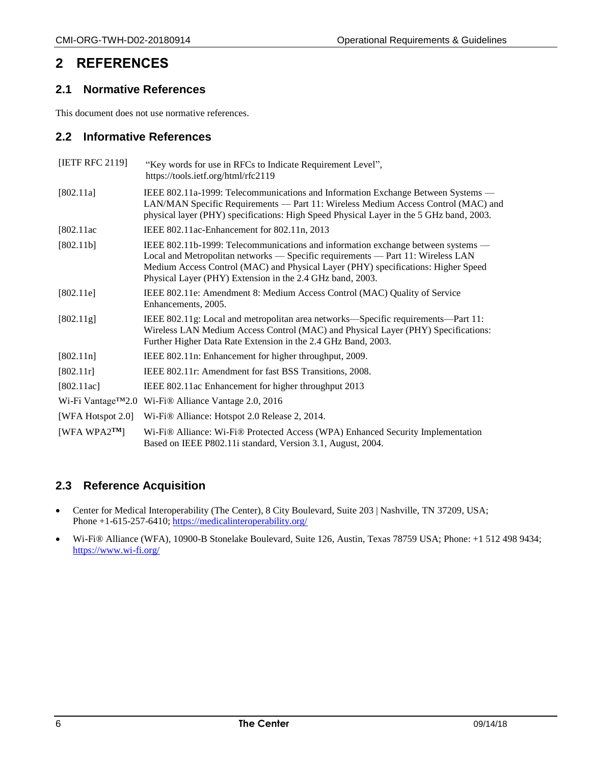## **2 REFERENCES**

#### **2.1 Normative References**

This document does not use normative references.

#### **2.2 Informative References**

<span id="page-5-5"></span><span id="page-5-4"></span><span id="page-5-1"></span><span id="page-5-0"></span>

| [IETF RFC 2119]      | "Key words for use in RFCs to Indicate Requirement Level",<br>https://tools.ietf.org/html/rfc2119                                                                                                                                                                                                                     |
|----------------------|-----------------------------------------------------------------------------------------------------------------------------------------------------------------------------------------------------------------------------------------------------------------------------------------------------------------------|
| [802.11a]            | IEEE 802.11a-1999: Telecommunications and Information Exchange Between Systems —<br>LAN/MAN Specific Requirements — Part 11: Wireless Medium Access Control (MAC) and<br>physical layer (PHY) specifications: High Speed Physical Layer in the 5 GHz band, 2003.                                                      |
| [802.11ac]           | IEEE 802.11ac-Enhancement for 802.11n, 2013                                                                                                                                                                                                                                                                           |
| [802.11b]            | IEEE 802.11b-1999: Telecommunications and information exchange between systems —<br>Local and Metropolitan networks - Specific requirements - Part 11: Wireless LAN<br>Medium Access Control (MAC) and Physical Layer (PHY) specifications: Higher Speed<br>Physical Layer (PHY) Extension in the 2.4 GHz band, 2003. |
| [802.11e]            | IEEE 802.11e: Amendment 8: Medium Access Control (MAC) Quality of Service<br>Enhancements, 2005.                                                                                                                                                                                                                      |
| [802.11g]            | IEEE 802.11g: Local and metropolitan area networks—Specific requirements—Part 11:<br>Wireless LAN Medium Access Control (MAC) and Physical Layer (PHY) Specifications:<br>Further Higher Data Rate Extension in the 2.4 GHz Band, 2003.                                                                               |
| [802.11n]            | IEEE 802.11n: Enhancement for higher throughput, 2009.                                                                                                                                                                                                                                                                |
| [802.11r]            | IEEE 802.11r: Amendment for fast BSS Transitions, 2008.                                                                                                                                                                                                                                                               |
| [802.11ac]           | IEEE 802.11ac Enhancement for higher throughput 2013                                                                                                                                                                                                                                                                  |
|                      | Wi-Fi Vantage™2.0 Wi-Fi® Alliance Vantage 2.0, 2016                                                                                                                                                                                                                                                                   |
| [WFA Hotspot $2.0$ ] | Wi-Fi® Alliance: Hotspot 2.0 Release 2, 2014.                                                                                                                                                                                                                                                                         |
| [WFA WPA $2^{TM}$ ]  | Wi-Fi® Alliance: Wi-Fi® Protected Access (WPA) Enhanced Security Implementation<br>Based on IEEE P802.11 standard, Version 3.1, August, 2004.                                                                                                                                                                         |

## <span id="page-5-6"></span><span id="page-5-3"></span><span id="page-5-2"></span>**2.3 Reference Acquisition**

- Center for Medical Interoperability (The Center), 8 City Boulevard, Suite 203 | Nashville, TN 37209, USA; Phone +1-615-257-6410;<https://medicalinteroperability.org/>
- Wi-Fi® Alliance (WFA), 10900-B Stonelake Boulevard, Suite 126, Austin, Texas 78759 USA; Phone: +1 512 498 9434; <https://www.wi-fi.org/>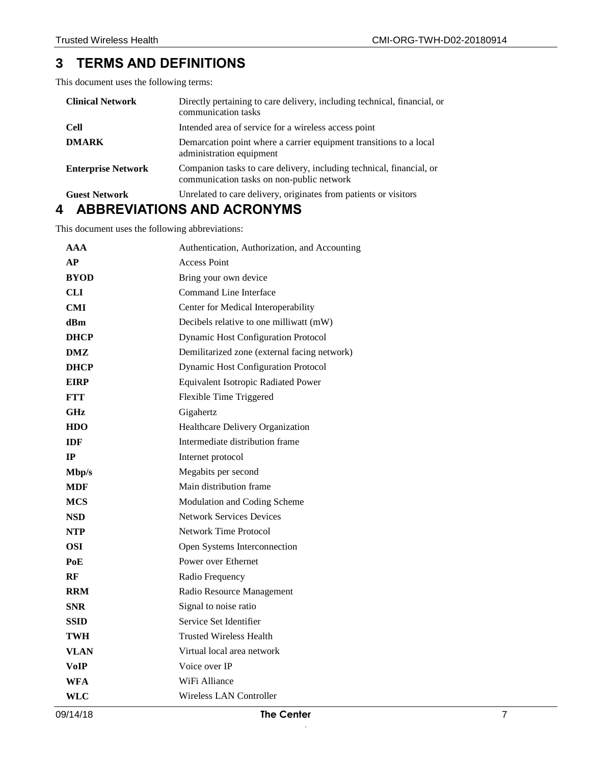## **3 TERMS AND DEFINITIONS**

This document uses the following terms:

| <b>Clinical Network</b>   | Directly pertaining to care delivery, including technical, financial, or<br>communication tasks                   |
|---------------------------|-------------------------------------------------------------------------------------------------------------------|
| <b>Cell</b>               | Intended area of service for a wireless access point                                                              |
| <b>DMARK</b>              | Demarcation point where a carrier equipment transitions to a local<br>administration equipment                    |
| <b>Enterprise Network</b> | Companion tasks to care delivery, including technical, financial, or<br>communication tasks on non-public network |
| <b>Guest Network</b>      | Unrelated to care delivery, originates from patients or visitors                                                  |

# **4 ABBREVIATIONS AND ACRONYMS**

This document uses the following abbreviations:

| 09/14/18    | <b>The Center</b>                             | 7 |
|-------------|-----------------------------------------------|---|
| <b>WLC</b>  | <b>Wireless LAN Controller</b>                |   |
| <b>WFA</b>  | WiFi Alliance                                 |   |
| <b>VoIP</b> | Voice over IP                                 |   |
| <b>VLAN</b> | Virtual local area network                    |   |
| <b>TWH</b>  | <b>Trusted Wireless Health</b>                |   |
| <b>SSID</b> | Service Set Identifier                        |   |
| <b>SNR</b>  | Signal to noise ratio                         |   |
| <b>RRM</b>  | Radio Resource Management                     |   |
| RF          | Radio Frequency                               |   |
| PoE         | Power over Ethernet                           |   |
| <b>OSI</b>  | Open Systems Interconnection                  |   |
| <b>NTP</b>  | <b>Network Time Protocol</b>                  |   |
| <b>NSD</b>  | <b>Network Services Devices</b>               |   |
| <b>MCS</b>  | Modulation and Coding Scheme                  |   |
| <b>MDF</b>  | Main distribution frame                       |   |
| Mbp/s       | Megabits per second                           |   |
| IP          | Internet protocol                             |   |
| <b>IDF</b>  | Intermediate distribution frame               |   |
| <b>HDO</b>  | Healthcare Delivery Organization              |   |
| <b>GHz</b>  | Gigahertz                                     |   |
| <b>FTT</b>  | Flexible Time Triggered                       |   |
| <b>EIRP</b> | Equivalent Isotropic Radiated Power           |   |
| <b>DHCP</b> | Dynamic Host Configuration Protocol           |   |
| DMZ         | Demilitarized zone (external facing network)  |   |
| <b>DHCP</b> | <b>Dynamic Host Configuration Protocol</b>    |   |
| dBm         | Decibels relative to one milliwatt (mW)       |   |
| <b>CMI</b>  | Center for Medical Interoperability           |   |
| <b>CLI</b>  | Command Line Interface                        |   |
| <b>BYOD</b> | Bring your own device                         |   |
| AP          | <b>Access Point</b>                           |   |
| AAA         | Authentication, Authorization, and Accounting |   |
|             |                                               |   |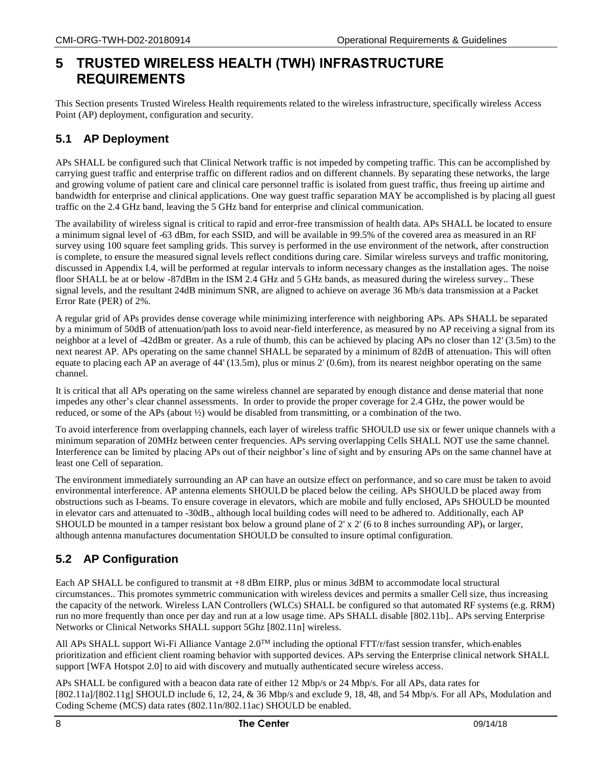# **5 TRUSTED WIRELESS HEALTH (TWH) INFRASTRUCTURE REQUIREMENTS**

This Section presents Trusted Wireless Health requirements related to the wireless infrastructure, specifically wireless Access Point (AP) deployment, configuration and security.

#### **5.1 AP Deployment**

APs SHALL be configured such that Clinical Network traffic is not impeded by competing traffic. This can be accomplished by carrying guest traffic and enterprise traffic on different radios and on different channels. By separating these networks, the large and growing volume of patient care and clinical care personnel traffic is isolated from guest traffic, thus freeing up airtime and bandwidth for enterprise and clinical applications. One way guest traffic separation MAY be accomplished is by placing all guest traffic on the 2.4 GHz band, leaving the 5 GHz band for enterprise and clinical communication.

The availability of wireless signal is critical to rapid and error-free transmission of health data. APs SHALL be located to ensure a minimum signal level of -63 dBm, for each SSID, and will be available in 99.5% of the covered area as measured in an RF survey using 100 square feet sampling grids. This survey is performed in the use environment of the network, after construction is complete, to ensure the measured signal levels reflect conditions during care. Similar wireless surveys and traffic monitoring, discussed in Appendix [I.4,](#page-10-0) will be performed at regular intervals to inform necessary changes as the installation ages. The noise floor SHALL be at or below -87dBm in the ISM 2.4 GHz and 5 GHz bands, as measured during the wireless survey.. These signal levels, and the resultant 24dB minimum SNR, are aligned to achieve on average 36 Mb/s data transmission at a Packet Error Rate (PER) of 2%.

A regular grid of APs provides dense coverage while minimizing interference with neighboring APs. APs SHALL be separated by a minimum of 50dB of attenuation/path loss to avoid near-field interference, as measured by no AP receiving a signal from its neighbor at a level of -42dBm or greater. As a rule of thumb, this can be achieved by placing APs no closer than 12' (3.5m) to the next nearest AP. APs operating on the same channel SHALL be separated by a minimum of 82dB of attenuation. This will often equate to placing each AP an average of 44' (13.5m), plus or minus 2' (0.6m), from its nearest neighbor operating on the same channel.

It is critical that all APs operating on the same wireless channel are separated by enough distance and dense material that none impedes any other's clear channel assessments. In order to provide the proper coverage for 2.4 GHz, the power would be reduced, or some of the APs (about ½) would be disabled from transmitting, or a combination of the two.

To avoid interference from overlapping channels, each layer of wireless traffic SHOULD use six or fewer unique channels with a minimum separation of 20MHz between center frequencies. APs serving overlapping Cells SHALL NOT use the same channel. Interference can be limited by placing APs out of their neighbor's line of sight and by ensuring APs on the same channel have at least one Cell of separation.

The environment immediately surrounding an AP can have an outsize effect on performance, and so care must be taken to avoid environmental interference. AP antenna elements SHOULD be placed below the ceiling. APs SHOULD be placed away from obstructions such as I-beams. To ensure coverage in elevators, which are mobile and fully enclosed, APs SHOULD be mounted in elevator cars and attenuated to -30dB., although local building codes will need to be adhered to. Additionally, each AP SHOULD be mounted in a tamper resistant box below a ground plane of  $2' \times 2'$  (6 to 8 inches surrounding AP), or larger, although antenna manufactures documentation SHOULD be consulted to insure optimal configuration.

## **5.2 AP Configuration**

Each AP SHALL be configured to transmit at +8 dBm EIRP, plus or minus 3dBM to accommodate local structural circumstances.. This promotes symmetric communication with wireless devices and permits a smaller Cell size, thus increasing the capacity of the network. Wireless LAN Controllers (WLCs) SHALL be configured so that automated RF systems (e.g. RRM) run no more frequently than once per day and run at a low usage time. APs SHALL disable [\[802.11b\].](#page-5-1). APs serving Enterprise Networks or Clinical Networks SHALL support 5Ghz [\[802.11n\]](#page-5-2) wireless.

All APs SHALL support Wi-Fi Alliance Vantage  $2.0^{TM}$  including the optional FTT/r/fast session transfer, which-enables prioritization and efficient client roaming behavior with supported devices. APs serving the Enterprise clinical network SHALL support [\[WFA Hotspot 2.0\]](#page-5-3) to aid with discovery and mutually authenticated secure wireless access.

APs SHALL be configured with a beacon data rate of either 12 Mbp/s or 24 Mbp/s. For all APs, data rates for [\[802.11a\]](#page-5-4)[/\[802.11g\]](#page-5-5) SHOULD include 6, 12, 24, & 36 Mbp/s and exclude 9, 18, 48, and 54 Mbp/s. For all APs, Modulation and Coding Scheme (MCS) data rates (802.11n/802.11ac) SHOULD be enabled.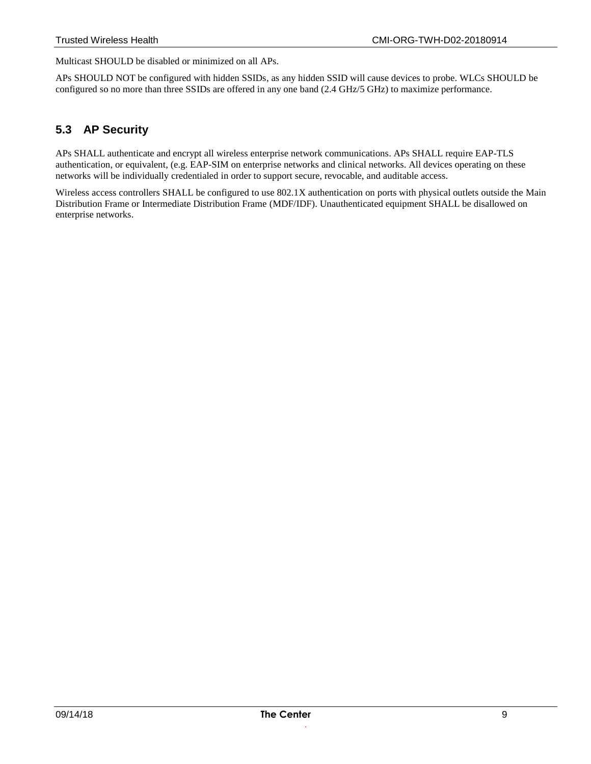Multicast SHOULD be disabled or minimized on all APs.

APs SHOULD NOT be configured with hidden SSIDs, as any hidden SSID will cause devices to probe. WLCs SHOULD be configured so no more than three SSIDs are offered in any one band (2.4 GHz/5 GHz) to maximize performance.

#### **5.3 AP Security**

APs SHALL authenticate and encrypt all wireless enterprise network communications. APs SHALL require EAP-TLS authentication, or equivalent, (e.g. EAP-SIM on enterprise networks and clinical networks. All devices operating on these networks will be individually credentialed in order to support secure, revocable, and auditable access.

Wireless access controllers SHALL be configured to use 802.1X authentication on ports with physical outlets outside the Main Distribution Frame or Intermediate Distribution Frame (MDF/IDF). Unauthenticated equipment SHALL be disallowed on enterprise networks.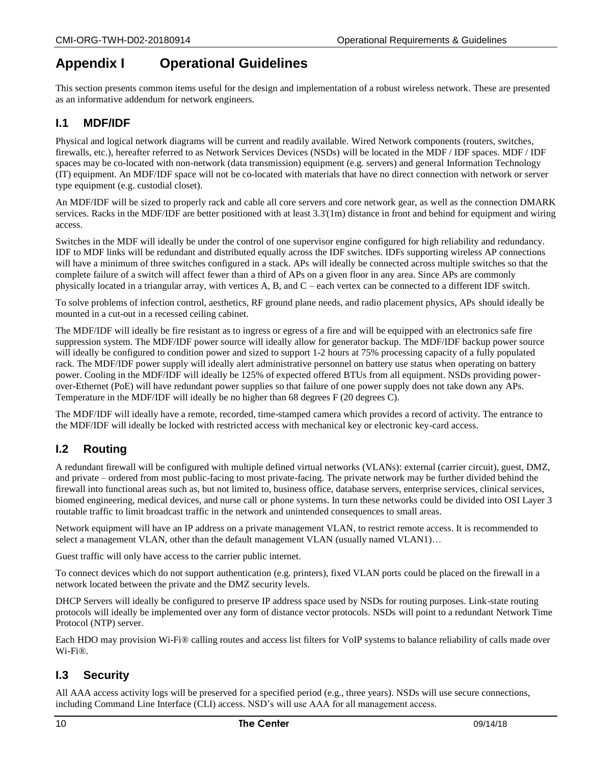# **Appendix I Operational Guidelines**

This section presents common items useful for the design and implementation of a robust wireless network. These are presented as an informative addendum for network engineers.

## **I.1 MDF/IDF**

Physical and logical network diagrams will be current and readily available. Wired Network components (routers, switches, firewalls, etc.), hereafter referred to as Network Services Devices (NSDs) will be located in the MDF / IDF spaces. MDF / IDF spaces may be co-located with non-network (data transmission) equipment (e.g. servers) and general Information Technology (IT) equipment. An MDF/IDF space will not be co-located with materials that have no direct connection with network or server type equipment (e.g. custodial closet).

An MDF/IDF will be sized to properly rack and cable all core servers and core network gear, as well as the connection DMARK services. Racks in the MDF/IDF are better positioned with at least 3.3'(1m) distance in front and behind for equipment and wiring access.

Switches in the MDF will ideally be under the control of one supervisor engine configured for high reliability and redundancy. IDF to MDF links will be redundant and distributed equally across the IDF switches. IDFs supporting wireless AP connections will have a minimum of three switches configured in a stack. APs will ideally be connected across multiple switches so that the complete failure of a switch will affect fewer than a third of APs on a given floor in any area. Since APs are commonly physically located in a triangular array, with vertices A, B, and C – each vertex can be connected to a different IDF switch.

To solve problems of infection control, aesthetics, RF ground plane needs, and radio placement physics, APs should ideally be mounted in a cut-out in a recessed ceiling cabinet.

The MDF/IDF will ideally be fire resistant as to ingress or egress of a fire and will be equipped with an electronics safe fire suppression system. The MDF/IDF power source will ideally allow for generator backup. The MDF/IDF backup power source will ideally be configured to condition power and sized to support 1-2 hours at 75% processing capacity of a fully populated rack. The MDF/IDF power supply will ideally alert administrative personnel on battery use status when operating on battery power. Cooling in the MDF/IDF will ideally be 125% of expected offered BTUs from all equipment. NSDs providing powerover-Ethernet (PoE) will have redundant power supplies so that failure of one power supply does not take down any APs. Temperature in the MDF/IDF will ideally be no higher than 68 degrees F (20 degrees C).

The MDF/IDF will ideally have a remote, recorded, time-stamped camera which provides a record of activity. The entrance to the MDF/IDF will ideally be locked with restricted access with mechanical key or electronic key-card access.

## **I.2 Routing**

A redundant firewall will be configured with multiple defined virtual networks (VLANs): external (carrier circuit), guest, DMZ, and private – ordered from most public-facing to most private-facing. The private network may be further divided behind the firewall into functional areas such as, but not limited to, business office, database servers, enterprise services, clinical services, biomed engineering, medical devices, and nurse call or phone systems. In turn these networks could be divided into OSI Layer 3 routable traffic to limit broadcast traffic in the network and unintended consequences to small areas.

Network equipment will have an IP address on a private management VLAN, to restrict remote access. It is recommended to select a management VLAN, other than the default management VLAN (usually named VLAN1)...

Guest traffic will only have access to the carrier public internet.

To connect devices which do not support authentication (e.g. printers), fixed VLAN ports could be placed on the firewall in a network located between the private and the DMZ security levels.

DHCP Servers will ideally be configured to preserve IP address space used by NSDs for routing purposes. Link-state routing protocols will ideally be implemented over any form of distance vector protocols. NSDs will point to a redundant Network Time Protocol (NTP) server.

Each HDO may provision Wi-Fi® calling routes and access list filters for VoIP systems to balance reliability of calls made over Wi-Fi®.

#### **I.3 Security**

All AAA access activity logs will be preserved for a specified period (e.g., three years). NSDs will use secure connections, including Command Line Interface (CLI) access. NSD's will use AAA for all management access.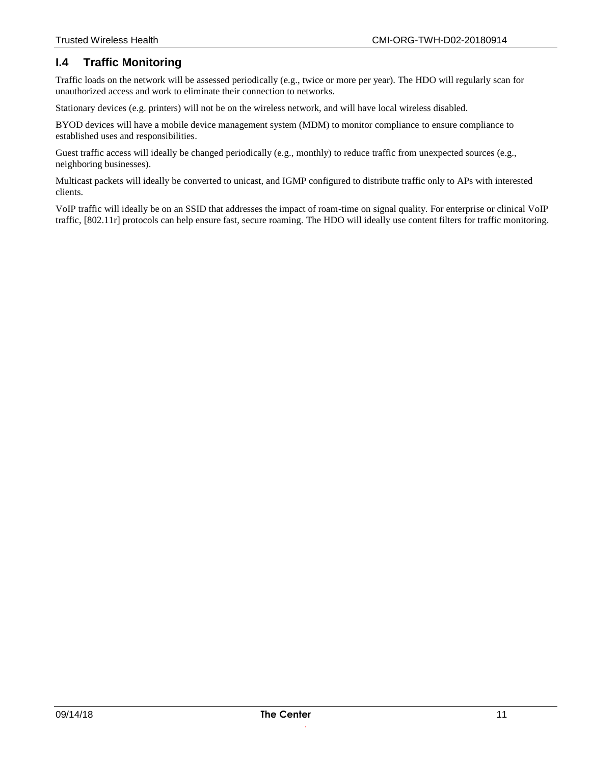## <span id="page-10-0"></span>**I.4 Traffic Monitoring**

Traffic loads on the network will be assessed periodically (e.g., twice or more per year). The HDO will regularly scan for unauthorized access and work to eliminate their connection to networks.

Stationary devices (e.g. printers) will not be on the wireless network, and will have local wireless disabled.

BYOD devices will have a mobile device management system (MDM) to monitor compliance to ensure compliance to established uses and responsibilities.

Guest traffic access will ideally be changed periodically (e.g., monthly) to reduce traffic from unexpected sources (e.g., neighboring businesses).

Multicast packets will ideally be converted to unicast, and IGMP configured to distribute traffic only to APs with interested clients.

VoIP traffic will ideally be on an SSID that addresses the impact of roam-time on signal quality. For enterprise or clinical VoIP traffic, [\[802.11r\]](#page-5-6) protocols can help ensure fast, secure roaming. The HDO will ideally use content filters for traffic monitoring.